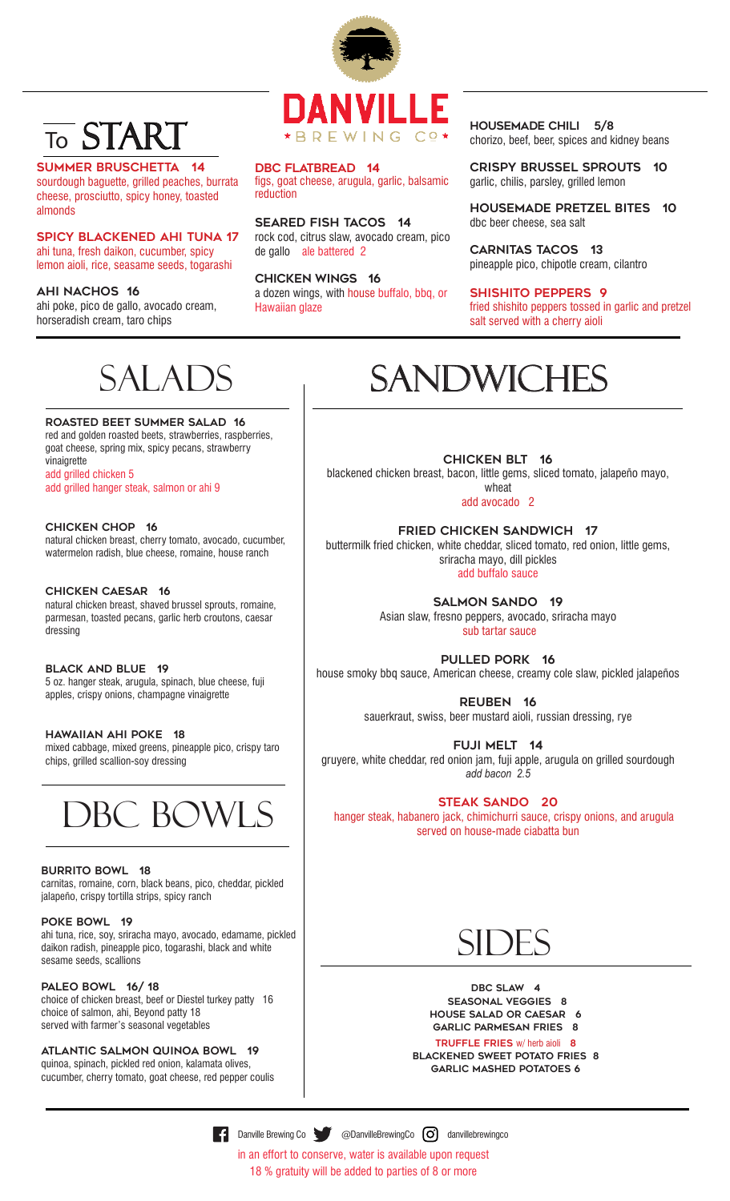## START To

summer bruschetta 14 sourdough baguette, grilled peaches, burrata cheese, prosciutto, spicy honey, toasted

almonds Spicy Blackened Ahi Tuna 17

ahi tuna, fresh daikon, cucumber, spicy lemon aioli, rice, seasame seeds, togarashi

ahi nachos 16

vinaigrette

add grilled chicken 5

ahi poke, pico de gallo, avocado cream, horseradish cream, taro chips



DBC FLATBREAD 14 figs, goat cheese, arugula, garlic, balsamic reduction

seared fish TACOS 14 rock cod, citrus slaw, avocado cream, pico de gallo ale battered 2

chicken WINGS 16 a dozen wings, with house buffalo, bbq, or Hawaiian glaze

housemade chili 5/8 chorizo, beef, beer, spices and kidney beans

CRISPY BRUSSEL SPROUTS 10 garlic, chilis, parsley, grilled lemon

HOUSEMADE PRETZEL BITES 10 dbc beer cheese, sea salt

carnitas TACOS 13 pineapple pico, chipotle cream, cilantro

#### SHISHITO PEPPERS 9

fried shishito peppers tossed in garlic and pretzel salt served with a cherry aioli

## SALADS

roasted beet summer salad 16 red and golden roasted beets, strawberries, raspberries, goat cheese, spring mix, spicy pecans, strawberry

add grilled hanger steak, salmon or ahi 9

# **SANDWICHES**

CHICKEN BLT 16 blackened chicken breast, bacon, little gems, sliced tomato, jalapeño mayo, wheat

add avocado 2

fried chicken sandwich 17 buttermilk fried chicken, white cheddar, sliced tomato, red onion, little gems, sriracha mayo, dill pickles add buffalo sauce

> salmon sando 19 Asian slaw, fresno peppers, avocado, sriracha mayo sub tartar sauce

pulled pork 16 house smoky bbq sauce, American cheese, creamy cole slaw, pickled jalapeños

> reuben 16 sauerkraut, swiss, beer mustard aioli, russian dressing, rye

fuji melt 14 gruyere, white cheddar, red onion jam, fuji apple, arugula on grilled sourdough *add bacon 2.5*

### steak sando 20

 hanger steak, habanero jack, chimichurri sauce, crispy onions, and arugula served on house-made ciabatta bun

## **SIDES**

DBC SLAW 4 SEASoNAL VEGGIES 8 house salad or caesar 6 GARLIC PARMESAN FRIES 8

#### TRUFFLE FRIES w/ herb aioli 8

Blackened SWEET POTATO FRIES 8 garlic mashed potatoes 6

chicken chop 16 natural chicken breast, cherry tomato, avocado, cucumber, watermelon radish, blue cheese, romaine, house ranch

Chicken Caesar 16

natural chicken breast, shaved brussel sprouts, romaine, parmesan, toasted pecans, garlic herb croutons, caesar dressing

black and blue 19 5 oz. hanger steak, arugula, spinach, blue cheese, fuji apples, crispy onions, champagne vinaigrette

hawaiian ahi poke 18 mixed cabbage, mixed greens, pineapple pico, crispy taro chips, grilled scallion-soy dressing



### **BURRITO BOWL 18**

carnitas, romaine, corn, black beans, pico, cheddar, pickled jalapeño, crispy tortilla strips, spicy ranch

POKE BOWL 19

ahi tuna, rice, soy, sriracha mayo, avocado, edamame, pickled daikon radish, pineapple pico, togarashi, black and white sesame seeds, scallions

### PALEO BOWL 16/18

choice of chicken breast, beef or Diestel turkey patty 16 choice of salmon, ahi, Beyond patty 18 served with farmer's seasonal vegetables

atlantic SALMON quinoa bowl 19 quinoa, spinach, pickled red onion, kalamata olives, cucumber, cherry tomato, goat cheese, red pepper coulis

**Example Brewing Co ConvilleBrewingCo** Convillebrewingco

in an effort to conserve, water is available upon request 18 % gratuity will be added to parties of 8 or more